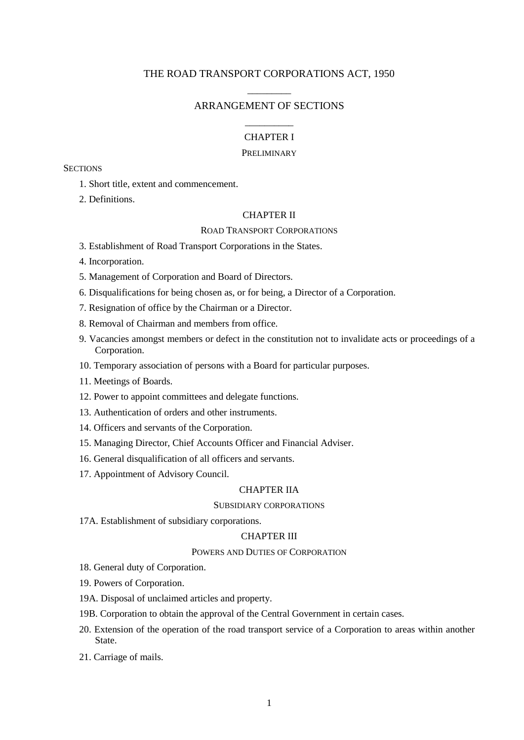# THE ROAD TRANSPORT CORPORATIONS ACT, 1950 \_\_\_\_\_\_\_\_\_

# ARRANGEMENT OF SECTIONS \_\_\_\_\_\_\_\_\_\_

# CHAPTER I

### PRELIMINARY

**SECTIONS** 

- 1. Short title, extent and commencement.
- 2. Definitions.

### CHAPTER II

### ROAD TRANSPORT CORPORATIONS

- 3. Establishment of Road Transport Corporations in the States.
- 4. Incorporation.
- 5. Management of Corporation and Board of Directors.
- 6. Disqualifications for being chosen as, or for being, a Director of a Corporation.
- 7. Resignation of office by the Chairman or a Director.
- 8. Removal of Chairman and members from office.
- 9. Vacancies amongst members or defect in the constitution not to invalidate acts or proceedings of a Corporation.
- 10. Temporary association of persons with a Board for particular purposes.
- 11. Meetings of Boards.
- 12. Power to appoint committees and delegate functions.
- 13. Authentication of orders and other instruments.
- 14. Officers and servants of the Corporation.
- 15. Managing Director, Chief Accounts Officer and Financial Adviser.
- 16. General disqualification of all officers and servants.
- 17. Appointment of Advisory Council.

### CHAPTER IIA

#### SUBSIDIARY CORPORATIONS

17A. Establishment of subsidiary corporations.

### CHAPTER III

#### POWERS AND DUTIES OF CORPORATION

- 18. General duty of Corporation.
- 19. Powers of Corporation.
- 19A. Disposal of unclaimed articles and property.
- 19B. Corporation to obtain the approval of the Central Government in certain cases.
- 20. Extension of the operation of the road transport service of a Corporation to areas within another State.
- 21. Carriage of mails.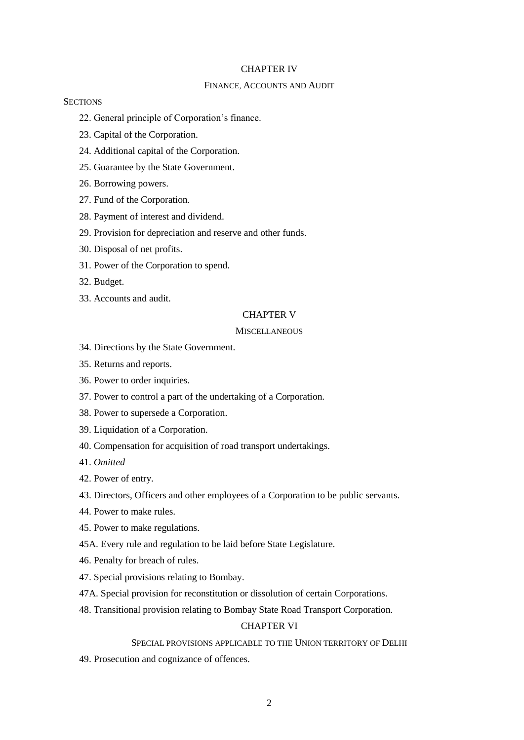#### CHAPTER IV

# FINANCE, ACCOUNTS AND AUDIT

### **SECTIONS**

- 22. General principle of Corporation's finance.
- 23. Capital of the Corporation.
- 24. Additional capital of the Corporation.
- 25. Guarantee by the State Government.
- 26. Borrowing powers.
- 27. Fund of the Corporation.
- 28. Payment of interest and dividend.
- 29. Provision for depreciation and reserve and other funds.
- 30. Disposal of net profits.
- 31. Power of the Corporation to spend.
- 32. Budget.
- 33. Accounts and audit.

# CHAPTER V

### **MISCELLANEOUS**

- 34. Directions by the State Government.
- 35. Returns and reports.
- 36. Power to order inquiries.
- 37. Power to control a part of the undertaking of a Corporation.
- 38. Power to supersede a Corporation.
- 39. Liquidation of a Corporation.
- 40. Compensation for acquisition of road transport undertakings.
- 41. *Omitted*
- 42. Power of entry.
- 43. Directors, Officers and other employees of a Corporation to be public servants.
- 44. Power to make rules.
- 45. Power to make regulations.
- 45A. Every rule and regulation to be laid before State Legislature.
- 46. Penalty for breach of rules.
- 47. Special provisions relating to Bombay.
- 47A. Special provision for reconstitution or dissolution of certain Corporations.
- 48. Transitional provision relating to Bombay State Road Transport Corporation.

# CHAPTER VI

### SPECIAL PROVISIONS APPLICABLE TO THE UNION TERRITORY OF DELHI

49. Prosecution and cognizance of offences.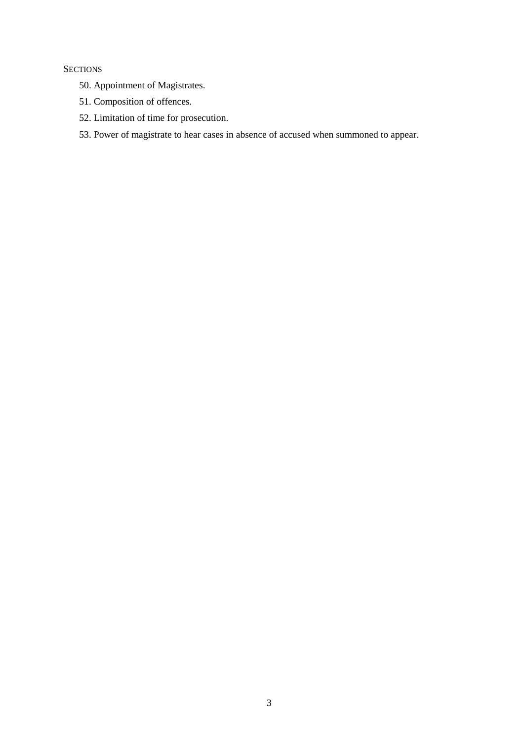# **SECTIONS**

- 50. Appointment of Magistrates.
- 51. Composition of offences.
- 52. Limitation of time for prosecution.
- 53. Power of magistrate to hear cases in absence of accused when summoned to appear.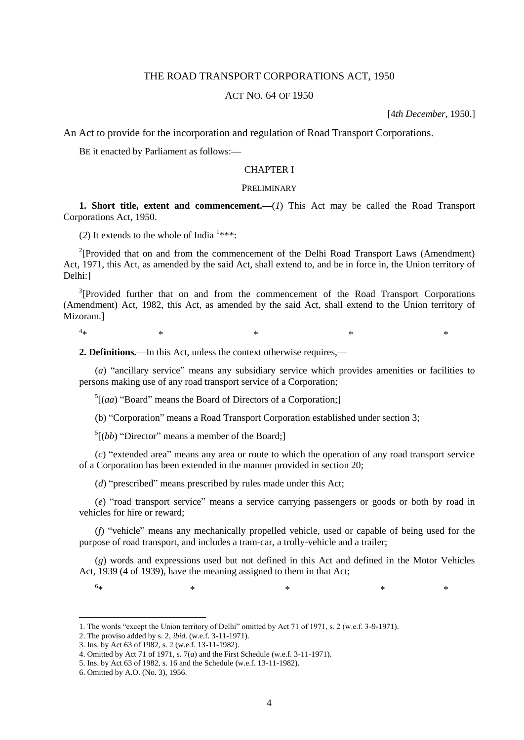# THE ROAD TRANSPORT CORPORATIONS ACT, 1950

### ACT NO. 64 OF 1950

[4*th December*, 1950.]

An Act to provide for the incorporation and regulation of Road Transport Corporations.

BE it enacted by Parliament as follows:**—**

# CHAPTER I

### PRELIMINARY

**1. Short title, extent and commencement.—**(*1*) This Act may be called the Road Transport Corporations Act, 1950.

(2) It extends to the whole of India  $1***$ :

<sup>2</sup>[Provided that on and from the commencement of the Delhi Road Transport Laws (Amendment) Act, 1971, this Act, as amended by the said Act, shall extend to, and be in force in, the Union territory of Delhi:]

 $3$ [Provided further that on and from the commencement of the Road Transport Corporations (Amendment) Act, 1982, this Act, as amended by the said Act, shall extend to the Union territory of Mizoram.]

 $4_{\star}$  $*$   $*$   $*$   $*$   $*$   $*$ 

**2. Definitions.—**In this Act, unless the context otherwise requires,**—**

(*a*) "ancillary service" means any subsidiary service which provides amenities or facilities to persons making use of any road transport service of a Corporation;

 $<sup>5</sup>$ [(*aa*) "Board" means the Board of Directors of a Corporation;]</sup>

(b) "Corporation" means a Road Transport Corporation established under section 3;

 $<sup>5</sup>[(bb)$  "Director" means a member of the Board;</sup>

(*c*) "extended area" means any area or route to which the operation of any road transport service of a Corporation has been extended in the manner provided in section 20;

(*d*) "prescribed" means prescribed by rules made under this Act;

(*e*) "road transport service" means a service carrying passengers or goods or both by road in vehicles for hire or reward;

(*f*) "vehicle" means any mechanically propelled vehicle, used or capable of being used for the purpose of road transport, and includes a tram-car, a trolly-vehicle and a trailer;

(*g*) words and expressions used but not defined in this Act and defined in the Motor Vehicles Act, 1939 (4 of 1939), have the meaning assigned to them in that Act;

 $6*$  $*$  \*  $*$  \*  $*$  \*

<sup>1.</sup> The words "except the Union territory of Delhi" omitted by Act 71 of 1971, s. 2 (w.e.f. 3-9-1971).

<sup>2.</sup> The proviso added by s. 2, *ibid*. (w.e.f. 3-11-1971).

<sup>3.</sup> Ins. by Act 63 of 1982, s. 2 (w.e.f. 13-11-1982).

<sup>4.</sup> Omitted by Act 71 of 1971, s. 7(*a*) and the First Schedule (w.e.f. 3-11-1971).

<sup>5.</sup> Ins. by Act 63 of 1982, s. 16 and the Schedule (w.e.f. 13-11-1982).

<sup>6.</sup> Omitted by A.O. (No. 3), 1956.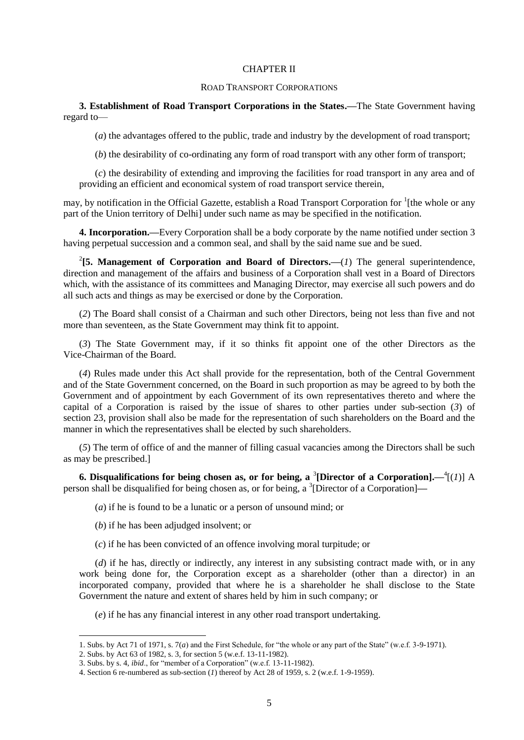#### CHAPTER II

#### ROAD TRANSPORT CORPORATIONS

**3. Establishment of Road Transport Corporations in the States.—**The State Government having regard to—

(*a*) the advantages offered to the public, trade and industry by the development of road transport;

(*b*) the desirability of co-ordinating any form of road transport with any other form of transport;

(*c*) the desirability of extending and improving the facilities for road transport in any area and of providing an efficient and economical system of road transport service therein,

may, by notification in the Official Gazette, establish a Road Transport Corporation for <sup>1</sup>[the whole or any part of the Union territory of Delhi] under such name as may be specified in the notification.

**4. Incorporation.—**Every Corporation shall be a body corporate by the name notified under section 3 having perpetual succession and a common seal, and shall by the said name sue and be sued.

<sup>2</sup>[5. Management of Corporation and Board of Directors.— $(I)$  The general superintendence, direction and management of the affairs and business of a Corporation shall vest in a Board of Directors which, with the assistance of its committees and Managing Director, may exercise all such powers and do all such acts and things as may be exercised or done by the Corporation.

(*2*) The Board shall consist of a Chairman and such other Directors, being not less than five and not more than seventeen, as the State Government may think fit to appoint.

(*3*) The State Government may, if it so thinks fit appoint one of the other Directors as the Vice-Chairman of the Board.

(*4*) Rules made under this Act shall provide for the representation, both of the Central Government and of the State Government concerned, on the Board in such proportion as may be agreed to by both the Government and of appointment by each Government of its own representatives thereto and where the capital of a Corporation is raised by the issue of shares to other parties under sub-section (*3*) of section 23, provision shall also be made for the representation of such shareholders on the Board and the manner in which the representatives shall be elected by such shareholders.

(*5*) The term of office of and the manner of filling casual vacancies among the Directors shall be such as may be prescribed.]

**6.** Disqualifications for being chosen as, or for being, a <sup>3</sup>[Director of a Corporation].— $\frac{4}{1}$ (*1*)] A person shall be disqualified for being chosen as, or for being, a <sup>3</sup>[Director of a Corporation]—

(*a*) if he is found to be a lunatic or a person of unsound mind; or

(*b*) if he has been adjudged insolvent; or

(*c*) if he has been convicted of an offence involving moral turpitude; or

(*d*) if he has, directly or indirectly, any interest in any subsisting contract made with, or in any work being done for, the Corporation except as a shareholder (other than a director) in an incorporated company, provided that where he is a shareholder he shall disclose to the State Government the nature and extent of shares held by him in such company; or

(*e*) if he has any financial interest in any other road transport undertaking.

<sup>1.</sup> Subs. by Act 71 of 1971, s. 7(*a*) and the First Schedule, for "the whole or any part of the State" (w.e.f. 3-9-1971).

<sup>2.</sup> Subs. by Act 63 of 1982, s. 3, for section 5 (w.e.f. 13-11-1982).

<sup>3.</sup> Subs. by s. 4, *ibid*., for "member of a Corporation" (w.e.f. 13-11-1982).

<sup>4.</sup> Section 6 re-numbered as sub-section (*1*) thereof by Act 28 of 1959, s. 2 (w.e.f. 1-9-1959).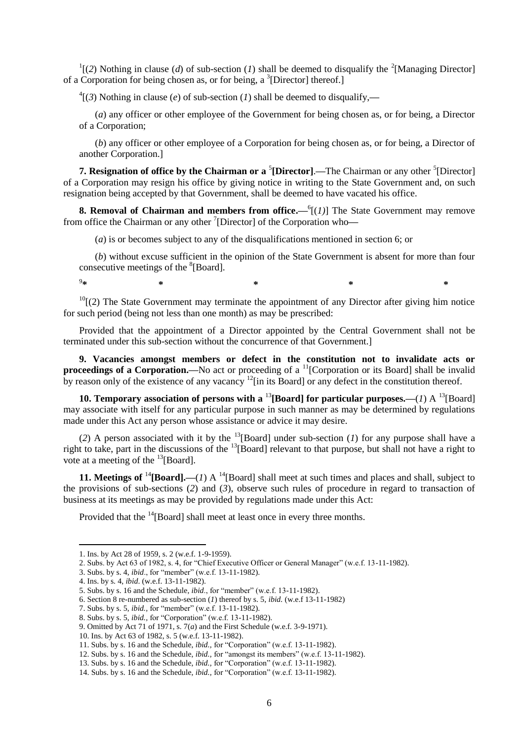$\binom{1}{2}$  Nothing in clause (*d*) of sub-section (*1*) shall be deemed to disqualify the <sup>2</sup>[Managing Director] of a Corporation for being chosen as, or for being, a <sup>3</sup>[Director] thereof.]

<sup>4</sup>[(3) Nothing in clause (*e*) of sub-section (*l*) shall be deemed to disqualify,—

(*a*) any officer or other employee of the Government for being chosen as, or for being, a Director of a Corporation;

(*b*) any officer or other employee of a Corporation for being chosen as, or for being, a Director of another Corporation.]

**7. Resignation of office by the Chairman or a <sup>5</sup>[Director].—The Chairman or any other <sup>5</sup>[Director]** of a Corporation may resign his office by giving notice in writing to the State Government and, on such resignation being accepted by that Government, shall be deemed to have vacated his office.

**8. Removal of Chairman and members from office.—<sup>6</sup>[(***1***)] The State Government may remove** from office the Chairman or any other <sup>7</sup>[Director] of the Corporation who—

(*a*) is or becomes subject to any of the disqualifications mentioned in section 6; or

(*b*) without excuse sufficient in the opinion of the State Government is absent for more than four consecutive meetings of the  ${}^{8}$ [Board].

**\* \* \* \* \***

 $10$ [(2) The State Government may terminate the appointment of any Director after giving him notice for such period (being not less than one month) as may be prescribed:

Provided that the appointment of a Director appointed by the Central Government shall not be terminated under this sub-section without the concurrence of that Government.]

**9. Vacancies amongst members or defect in the constitution not to invalidate acts or proceedings of a Corporation.—No** act or proceeding of a <sup>11</sup>[Corporation or its Board] shall be invalid by reason only of the existence of any vacancy  $12$ [in its Board] or any defect in the constitution thereof.

**10. Temporary association of persons with a <sup>13</sup>[Board] for particular purposes.—(***1***) A <sup>13</sup>[Board]** may associate with itself for any particular purpose in such manner as may be determined by regulations made under this Act any person whose assistance or advice it may desire.

(2) A person associated with it by the  $^{13}$ [Board] under sub-section (*1*) for any purpose shall have a right to take, part in the discussions of the <sup>13</sup>[Board] relevant to that purpose, but shall not have a right to vote at a meeting of the  $^{13}$ [Board].

**11. Meetings of <sup>14</sup>**[Board].—(*1*) A <sup>14</sup>[Board] shall meet at such times and places and shall, subject to the provisions of sub-sections (*2*) and (*3*), observe such rules of procedure in regard to transaction of business at its meetings as may be provided by regulations made under this Act:

Provided that the <sup>14</sup>[Board] shall meet at least once in every three months.

 $9_{\text{sk}}$ 

<sup>1.</sup> Ins. by Act 28 of 1959, s. 2 (w.e.f. 1-9-1959).

<sup>2.</sup> Subs. by Act 63 of 1982, s. 4, for "Chief Executive Officer or General Manager" (w.e.f. 13-11-1982).

<sup>3.</sup> Subs. by s. 4, *ibid*., for "member" (w.e.f. 13-11-1982).

<sup>4.</sup> Ins. by s. 4, *ibid*. (w.e.f. 13-11-1982).

<sup>5.</sup> Subs. by s. 16 and the Schedule, *ibid*., for "member" (w.e.f. 13-11-1982).

<sup>6.</sup> Section 8 re-numbered as sub-section (*1*) thereof by s. 5, *ibid.* (w.e.f 13-11-1982)

<sup>7.</sup> Subs. by s. 5, *ibid.,* for "member" (w.e.f. 13-11-1982).

<sup>8.</sup> Subs. by s. 5, *ibid.,* for "Corporation" (w.e.f. 13-11-1982).

<sup>9.</sup> Omitted by Act 71 of 1971, s. 7(*a*) and the First Schedule (w.e.f. 3-9-1971).

<sup>10.</sup> Ins. by Act 63 of 1982, s. 5 (w.e.f. 13-11-1982).

<sup>11.</sup> Subs. by s. 16 and the Schedule, *ibid.,* for "Corporation" (w.e.f. 13-11-1982).

<sup>12.</sup> Subs. by s. 16 and the Schedule, *ibid.,* for "amongst its members" (w.e.f. 13-11-1982).

<sup>13.</sup> Subs. by s. 16 and the Schedule, *ibid.,* for "Corporation" (w.e.f. 13-11-1982).

<sup>14.</sup> Subs. by s. 16 and the Schedule, *ibid.,* for "Corporation" (w.e.f. 13-11-1982).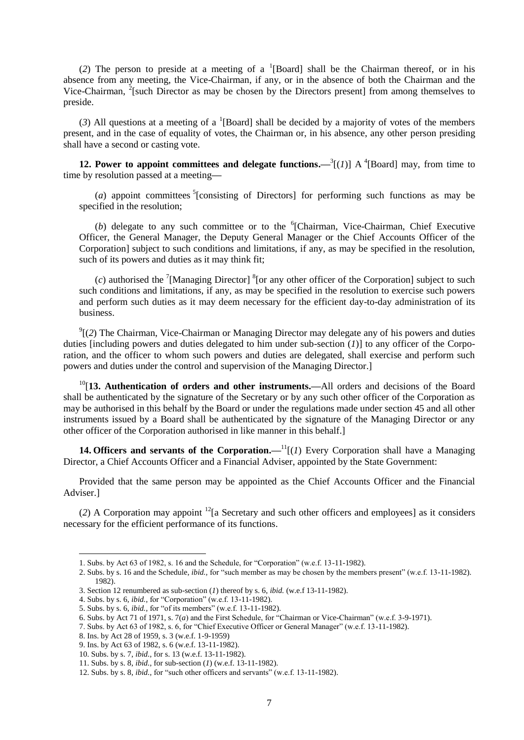(2) The person to preside at a meeting of a <sup>1</sup>[Board] shall be the Chairman thereof, or in his absence from any meeting, the Vice-Chairman, if any, or in the absence of both the Chairman and the Vice-Chairman,  $2$ [such Director as may be chosen by the Directors present] from among themselves to preside.

(3) All questions at a meeting of a <sup>1</sup>[Board] shall be decided by a majority of votes of the members present, and in the case of equality of votes, the Chairman or, in his absence, any other person presiding shall have a second or casting vote.

**12. Power to appoint committees and delegate functions.—** $^{3}$ **[(***1***)] A<sup>4</sup>[Board] may, from time to** time by resolution passed at a meeting**—**

( $a$ ) appoint committees <sup>5</sup>[consisting of Directors] for performing such functions as may be specified in the resolution;

(b) delegate to any such committee or to the  ${}^{6}$ [Chairman, Vice-Chairman, Chief Executive Officer, the General Manager, the Deputy General Manager or the Chief Accounts Officer of the Corporation] subject to such conditions and limitations, if any, as may be specified in the resolution, such of its powers and duties as it may think fit;

 $(c)$  authorised the <sup>7</sup>[Managing Director] <sup>8</sup>[or any other officer of the Corporation] subject to such such conditions and limitations, if any, as may be specified in the resolution to exercise such powers and perform such duties as it may deem necessary for the efficient day-to-day administration of its business.

 $\mathcal{O}_2^9$  (2) The Chairman, Vice-Chairman or Managing Director may delegate any of his powers and duties duties [including powers and duties delegated to him under sub-section  $(I)$ ] to any officer of the Corporation, and the officer to whom such powers and duties are delegated, shall exercise and perform such powers and duties under the control and supervision of the Managing Director.]

<sup>10</sup>[**13. Authentication of orders and other instruments.—**All orders and decisions of the Board shall be authenticated by the signature of the Secretary or by any such other officer of the Corporation as may be authorised in this behalf by the Board or under the regulations made under section 45 and all other instruments issued by a Board shall be authenticated by the signature of the Managing Director or any other officer of the Corporation authorised in like manner in this behalf.]

**14. Officers and servants of the Corporation.—** $\frac{1}{i}$ **[***(1)* **Every Corporation shall have a Managing** Director, a Chief Accounts Officer and a Financial Adviser, appointed by the State Government:

Provided that the same person may be appointed as the Chief Accounts Officer and the Financial Adviser.]

(*2*) A Corporation may appoint <sup>12</sup>[a Secretary and such other officers and employees] as it considers necessary for the efficient performance of its functions.

 $\overline{a}$ 

<sup>1.</sup> Subs. by Act 63 of 1982, s. 16 and the Schedule, for "Corporation" (w.e.f. 13-11-1982).

<sup>2.</sup> Subs. by s. 16 and the Schedule, *ibid.,* for "such member as may be chosen by the members present" (w.e.f. 13-11-1982). 1982).

<sup>3.</sup> Section 12 renumbered as sub-section (*1*) thereof by s. 6, *ibid.* (w.e.f 13-11-1982).

<sup>4.</sup> Subs. by s. 6, *ibid.,* for "Corporation" (w.e.f. 13-11-1982).

<sup>5.</sup> Subs. by s. 6, *ibid.,* for "of its members" (w.e.f. 13-11-1982).

<sup>6.</sup> Subs. by Act 71 of 1971, s. 7(*a*) and the First Schedule, for "Chairman or Vice-Chairman" (w.e.f. 3-9-1971).

<sup>7.</sup> Subs. by Act 63 of 1982, s. 6, for "Chief Executive Officer or General Manager" (w.e.f. 13-11-1982).

<sup>8.</sup> Ins. by Act 28 of 1959, s. 3 (w.e.f. 1-9-1959)

<sup>9.</sup> Ins. by Act 63 of 1982, s. 6 (w.e.f. 13-11-1982).

<sup>10.</sup> Subs. by s. 7, *ibid.,* for s. 13 (w.e.f. 13-11-1982).

<sup>11.</sup> Subs. by s. 8, *ibid.,* for sub-section (*1*) (w.e.f. 13-11-1982).

<sup>12.</sup> Subs. by s. 8, *ibid.,* for "such other officers and servants" (w.e.f. 13-11-1982).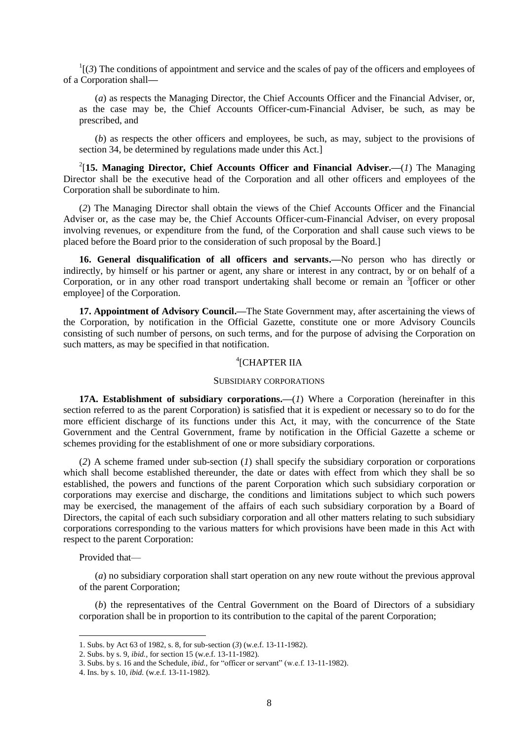$\frac{1}{3}$  The conditions of appointment and service and the scales of pay of the officers and employees of of a Corporation shall**—**

(*a*) as respects the Managing Director, the Chief Accounts Officer and the Financial Adviser, or, as the case may be, the Chief Accounts Officer-cum-Financial Adviser, be such, as may be prescribed, and

(*b*) as respects the other officers and employees, be such, as may, subject to the provisions of section 34, be determined by regulations made under this Act.]

2 [**15. Managing Director, Chief Accounts Officer and Financial Adviser.—**(*1*) The Managing Director shall be the executive head of the Corporation and all other officers and employees of the Corporation shall be subordinate to him.

(*2*) The Managing Director shall obtain the views of the Chief Accounts Officer and the Financial Adviser or, as the case may be, the Chief Accounts Officer-cum-Financial Adviser, on every proposal involving revenues, or expenditure from the fund, of the Corporation and shall cause such views to be placed before the Board prior to the consideration of such proposal by the Board.]

**16. General disqualification of all officers and servants.—**No person who has directly or indirectly, by himself or his partner or agent, any share or interest in any contract, by or on behalf of a Corporation, or in any other road transport undertaking shall become or remain an <sup>3</sup>[officer or other employee] of the Corporation.

**17. Appointment of Advisory Council.—**The State Government may, after ascertaining the views of the Corporation, by notification in the Official Gazette, constitute one or more Advisory Councils consisting of such number of persons, on such terms, and for the purpose of advising the Corporation on such matters, as may be specified in that notification.

# 4 [CHAPTER IIA

#### SUBSIDIARY CORPORATIONS

**17A. Establishment of subsidiary corporations.—**(*1*) Where a Corporation (hereinafter in this section referred to as the parent Corporation) is satisfied that it is expedient or necessary so to do for the more efficient discharge of its functions under this Act, it may, with the concurrence of the State Government and the Central Government, frame by notification in the Official Gazette a scheme or schemes providing for the establishment of one or more subsidiary corporations.

(*2*) A scheme framed under sub-section (*1*) shall specify the subsidiary corporation or corporations which shall become established thereunder, the date or dates with effect from which they shall be so established, the powers and functions of the parent Corporation which such subsidiary corporation or corporations may exercise and discharge, the conditions and limitations subject to which such powers may be exercised, the management of the affairs of each such subsidiary corporation by a Board of Directors, the capital of each such subsidiary corporation and all other matters relating to such subsidiary corporations corresponding to the various matters for which provisions have been made in this Act with respect to the parent Corporation:

Provided that—

**.** 

(*a*) no subsidiary corporation shall start operation on any new route without the previous approval of the parent Corporation;

(*b*) the representatives of the Central Government on the Board of Directors of a subsidiary corporation shall be in proportion to its contribution to the capital of the parent Corporation;

<sup>1.</sup> Subs. by Act 63 of 1982, s. 8, for sub-section (*3*) (w.e.f. 13-11-1982).

<sup>2.</sup> Subs. by s. 9, *ibid.,* for section 15 (w.e.f. 13-11-1982).

<sup>3.</sup> Subs. by s. 16 and the Schedule, *ibid.,* for "officer or servant" (w.e.f. 13-11-1982).

<sup>4.</sup> Ins. by s. 10, *ibid.* (w.e.f. 13-11-1982).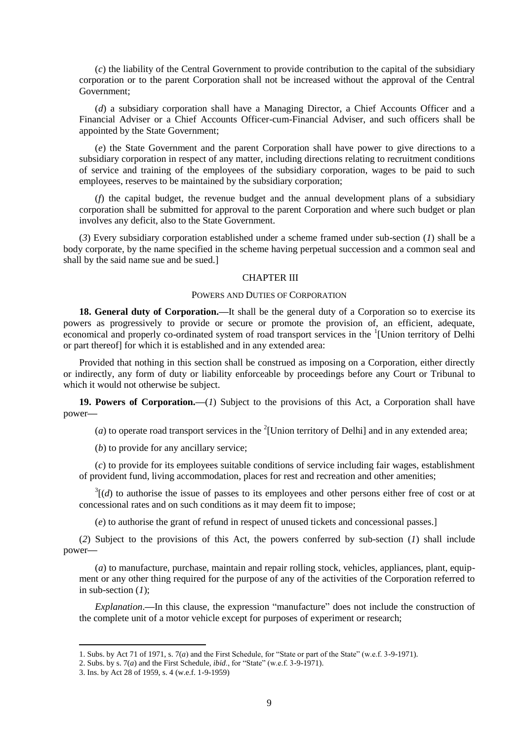(*c*) the liability of the Central Government to provide contribution to the capital of the subsidiary corporation or to the parent Corporation shall not be increased without the approval of the Central Government;

(*d*) a subsidiary corporation shall have a Managing Director, a Chief Accounts Officer and a Financial Adviser or a Chief Accounts Officer-cum-Financial Adviser, and such officers shall be appointed by the State Government;

(*e*) the State Government and the parent Corporation shall have power to give directions to a subsidiary corporation in respect of any matter, including directions relating to recruitment conditions of service and training of the employees of the subsidiary corporation, wages to be paid to such employees, reserves to be maintained by the subsidiary corporation;

(*f*) the capital budget, the revenue budget and the annual development plans of a subsidiary corporation shall be submitted for approval to the parent Corporation and where such budget or plan involves any deficit, also to the State Government.

(*3*) Every subsidiary corporation established under a scheme framed under sub-section (*1*) shall be a body corporate, by the name specified in the scheme having perpetual succession and a common seal and shall by the said name sue and be sued.]

### CHAPTER III

### POWERS AND DUTIES OF CORPORATION

**18. General duty of Corporation.—**It shall be the general duty of a Corporation so to exercise its powers as progressively to provide or secure or promote the provision of, an efficient, adequate, economical and properly co-ordinated system of road transport services in the <sup>1</sup>[Union territory of Delhi or part thereof] for which it is established and in any extended area:

Provided that nothing in this section shall be construed as imposing on a Corporation, either directly or indirectly, any form of duty or liability enforceable by proceedings before any Court or Tribunal to which it would not otherwise be subject.

**19. Powers of Corporation.—**(*1*) Subject to the provisions of this Act, a Corporation shall have power**—**

(*a*) to operate road transport services in the  $^{2}$ [Union territory of Delhi] and in any extended area;

(*b*) to provide for any ancillary service;

(*c*) to provide for its employees suitable conditions of service including fair wages, establishment of provident fund, living accommodation, places for rest and recreation and other amenities;

 $3\cdot$   $(d)$  to authorise the issue of passes to its employees and other persons either free of cost or at concessional rates and on such conditions as it may deem fit to impose;

(*e*) to authorise the grant of refund in respect of unused tickets and concessional passes.]

(*2*) Subject to the provisions of this Act, the powers conferred by sub-section (*1*) shall include power**—**

(*a*) to manufacture, purchase, maintain and repair rolling stock, vehicles, appliances, plant, equipment or any other thing required for the purpose of any of the activities of the Corporation referred to in sub-section (*1*);

*Explanation*.**—**In this clause, the expression "manufacture" does not include the construction of the complete unit of a motor vehicle except for purposes of experiment or research;

<sup>1.</sup> Subs. by Act 71 of 1971, s. 7(*a*) and the First Schedule, for "State or part of the State" (w.e.f. 3-9-1971).

<sup>2.</sup> Subs. by s. 7(*a*) and the First Schedule, *ibid*., for "State" (w.e.f. 3-9-1971).

<sup>3.</sup> Ins. by Act 28 of 1959, s. 4 (w.e.f. 1-9-1959)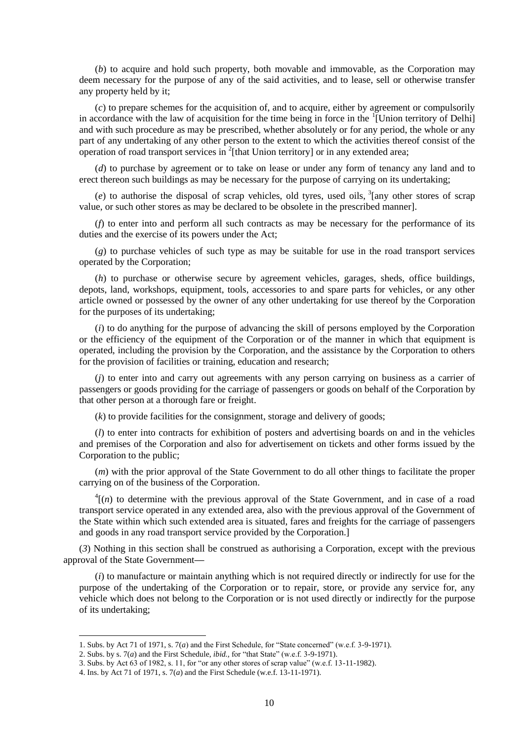(*b*) to acquire and hold such property, both movable and immovable, as the Corporation may deem necessary for the purpose of any of the said activities, and to lease, sell or otherwise transfer any property held by it;

(*c*) to prepare schemes for the acquisition of, and to acquire, either by agreement or compulsorily in accordance with the law of acquisition for the time being in force in the  $\frac{1}{2}$ [Union territory of Delhi] and with such procedure as may be prescribed, whether absolutely or for any period, the whole or any part of any undertaking of any other person to the extent to which the activities thereof consist of the operation of road transport services in  $2$ [that Union territory] or in any extended area;

(*d*) to purchase by agreement or to take on lease or under any form of tenancy any land and to erect thereon such buildings as may be necessary for the purpose of carrying on its undertaking;

 $(e)$  to authorise the disposal of scrap vehicles, old tyres, used oils,  $3$ [any other stores of scrap value, or such other stores as may be declared to be obsolete in the prescribed manner].

(*f*) to enter into and perform all such contracts as may be necessary for the performance of its duties and the exercise of its powers under the Act;

(*g*) to purchase vehicles of such type as may be suitable for use in the road transport services operated by the Corporation;

(*h*) to purchase or otherwise secure by agreement vehicles, garages, sheds, office buildings, depots, land, workshops, equipment, tools, accessories to and spare parts for vehicles, or any other article owned or possessed by the owner of any other undertaking for use thereof by the Corporation for the purposes of its undertaking;

(*i*) to do anything for the purpose of advancing the skill of persons employed by the Corporation or the efficiency of the equipment of the Corporation or of the manner in which that equipment is operated, including the provision by the Corporation, and the assistance by the Corporation to others for the provision of facilities or training, education and research;

(*j*) to enter into and carry out agreements with any person carrying on business as a carrier of passengers or goods providing for the carriage of passengers or goods on behalf of the Corporation by that other person at a thorough fare or freight.

(*k*) to provide facilities for the consignment, storage and delivery of goods;

(*l*) to enter into contracts for exhibition of posters and advertising boards on and in the vehicles and premises of the Corporation and also for advertisement on tickets and other forms issued by the Corporation to the public;

(*m*) with the prior approval of the State Government to do all other things to facilitate the proper carrying on of the business of the Corporation.

 $<sup>4</sup>$ [(*n*) to determine with the previous approval of the State Government, and in case of a road</sup> transport service operated in any extended area, also with the previous approval of the Government of the State within which such extended area is situated, fares and freights for the carriage of passengers and goods in any road transport service provided by the Corporation.]

(*3*) Nothing in this section shall be construed as authorising a Corporation, except with the previous approval of the State Government**—**

(*i*) to manufacture or maintain anything which is not required directly or indirectly for use for the purpose of the undertaking of the Corporation or to repair, store, or provide any service for, any vehicle which does not belong to the Corporation or is not used directly or indirectly for the purpose of its undertaking;

<sup>1.</sup> Subs. by Act 71 of 1971, s. 7(*a*) and the First Schedule, for "State concerned" (w.e.f. 3-9-1971).

<sup>2.</sup> Subs. by s. 7(*a*) and the First Schedule, *ibid.,* for "that State" (w.e.f. 3-9-1971).

<sup>3.</sup> Subs. by Act 63 of 1982, s. 11, for "or any other stores of scrap value" (w.e.f. 13-11-1982).

<sup>4.</sup> Ins. by Act 71 of 1971, s. 7(*a*) and the First Schedule (w.e.f. 13-11-1971).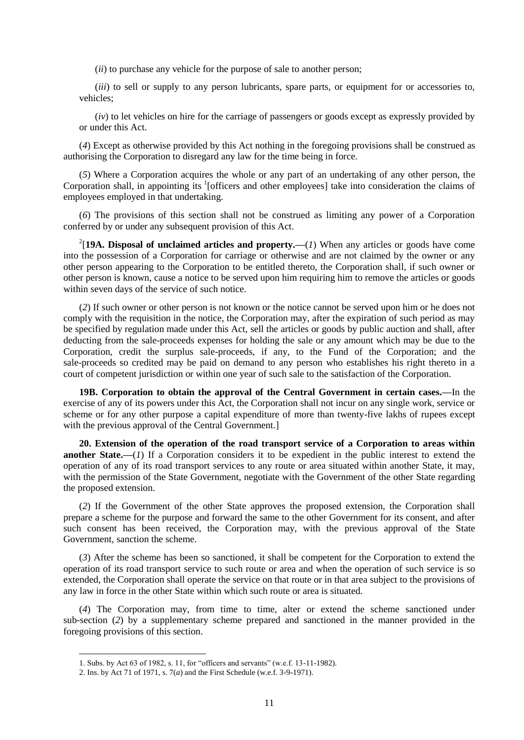(*ii*) to purchase any vehicle for the purpose of sale to another person;

(*iii*) to sell or supply to any person lubricants, spare parts, or equipment for or accessories to, vehicles;

(*iv*) to let vehicles on hire for the carriage of passengers or goods except as expressly provided by or under this Act.

(*4*) Except as otherwise provided by this Act nothing in the foregoing provisions shall be construed as authorising the Corporation to disregard any law for the time being in force.

(*5*) Where a Corporation acquires the whole or any part of an undertaking of any other person, the Corporation shall, in appointing its <sup>1</sup>[officers and other employees] take into consideration the claims of employees employed in that undertaking.

(*6*) The provisions of this section shall not be construed as limiting any power of a Corporation conferred by or under any subsequent provision of this Act.

<sup>2</sup>[19A. Disposal of unclaimed articles and property.—(*1*) When any articles or goods have come into the possession of a Corporation for carriage or otherwise and are not claimed by the owner or any other person appearing to the Corporation to be entitled thereto, the Corporation shall, if such owner or other person is known, cause a notice to be served upon him requiring him to remove the articles or goods within seven days of the service of such notice.

(*2*) If such owner or other person is not known or the notice cannot be served upon him or he does not comply with the requisition in the notice, the Corporation may, after the expiration of such period as may be specified by regulation made under this Act, sell the articles or goods by public auction and shall, after deducting from the sale-proceeds expenses for holding the sale or any amount which may be due to the Corporation, credit the surplus sale-proceeds, if any, to the Fund of the Corporation; and the sale-proceeds so credited may be paid on demand to any person who establishes his right thereto in a court of competent jurisdiction or within one year of such sale to the satisfaction of the Corporation.

**19B. Corporation to obtain the approval of the Central Government in certain cases.—**In the exercise of any of its powers under this Act, the Corporation shall not incur on any single work, service or scheme or for any other purpose a capital expenditure of more than twenty-five lakhs of rupees except with the previous approval of the Central Government.]

**20. Extension of the operation of the road transport service of a Corporation to areas within another State.—**(*1*) If a Corporation considers it to be expedient in the public interest to extend the operation of any of its road transport services to any route or area situated within another State, it may, with the permission of the State Government, negotiate with the Government of the other State regarding the proposed extension.

(*2*) If the Government of the other State approves the proposed extension, the Corporation shall prepare a scheme for the purpose and forward the same to the other Government for its consent, and after such consent has been received, the Corporation may, with the previous approval of the State Government, sanction the scheme.

(*3*) After the scheme has been so sanctioned, it shall be competent for the Corporation to extend the operation of its road transport service to such route or area and when the operation of such service is so extended, the Corporation shall operate the service on that route or in that area subject to the provisions of any law in force in the other State within which such route or area is situated.

(*4*) The Corporation may, from time to time, alter or extend the scheme sanctioned under sub-section (*2*) by a supplementary scheme prepared and sanctioned in the manner provided in the foregoing provisions of this section.

<sup>1.</sup> Subs. by Act 63 of 1982, s. 11, for "officers and servants" (w.e.f. 13-11-1982).

<sup>2.</sup> Ins. by Act 71 of 1971, s. 7(*a*) and the First Schedule (w.e.f. 3-9-1971).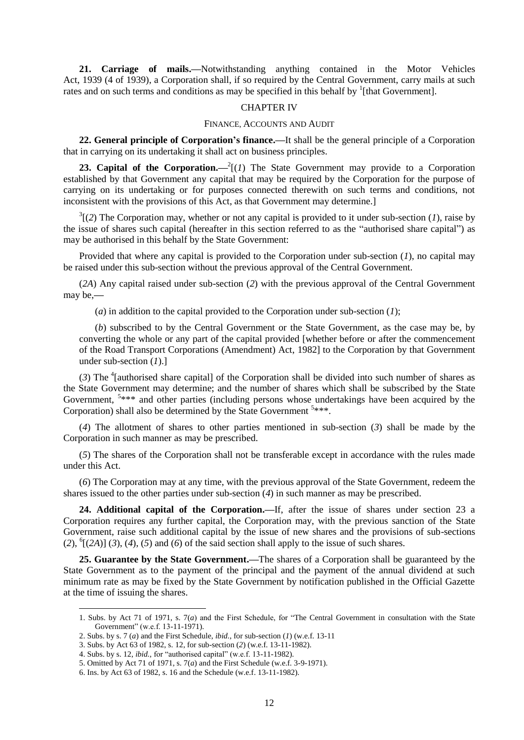**21. Carriage of mails.—**Notwithstanding anything contained in the Motor Vehicles Act, 1939 (4 of 1939), a Corporation shall, if so required by the Central Government, carry mails at such rates and on such terms and conditions as may be specified in this behalf by  $\frac{1}{1}$ [that Government].

# CHAPTER IV

#### FINANCE, ACCOUNTS AND AUDIT

**22. General principle of Corporation's finance.—**It shall be the general principle of a Corporation that in carrying on its undertaking it shall act on business principles.

**23. Capital of the Corporation.**  $-2[(1)$  The State Government may provide to a Corporation established by that Government any capital that may be required by the Corporation for the purpose of carrying on its undertaking or for purposes connected therewith on such terms and conditions, not inconsistent with the provisions of this Act, as that Government may determine.]

 $3(2)$  The Corporation may, whether or not any capital is provided to it under sub-section (*1*), raise by the issue of shares such capital (hereafter in this section referred to as the "authorised share capital") as may be authorised in this behalf by the State Government:

Provided that where any capital is provided to the Corporation under sub-section (*1*), no capital may be raised under this sub-section without the previous approval of the Central Government.

(*2A*) Any capital raised under sub-section (*2*) with the previous approval of the Central Government may be,**—**

(*a*) in addition to the capital provided to the Corporation under sub-section (*1*);

(*b*) subscribed to by the Central Government or the State Government, as the case may be, by converting the whole or any part of the capital provided [whether before or after the commencement of the Road Transport Corporations (Amendment) Act, 1982] to the Corporation by that Government under sub-section (*1*).]

(3) The  $\textsuperscript{4}$  [authorised share capital] of the Corporation shall be divided into such number of shares as the State Government may determine; and the number of shares which shall be subscribed by the State Government, <sup>5\*\*\*</sup> and other parties (including persons whose undertakings have been acquired by the Corporation) shall also be determined by the State Government <sup>5</sup>\*\*\*.

(*4*) The allotment of shares to other parties mentioned in sub-section (*3*) shall be made by the Corporation in such manner as may be prescribed.

(*5*) The shares of the Corporation shall not be transferable except in accordance with the rules made under this Act.

(*6*) The Corporation may at any time, with the previous approval of the State Government, redeem the shares issued to the other parties under sub-section (*4*) in such manner as may be prescribed.

**24. Additional capital of the Corporation.—**If, after the issue of shares under section 23 a Corporation requires any further capital, the Corporation may, with the previous sanction of the State Government, raise such additional capital by the issue of new shares and the provisions of sub-sections  $(2)$ , <sup>6</sup> $[(2A)]$  (3), (4), (5) and (6) of the said section shall apply to the issue of such shares.

**25. Guarantee by the State Government.—**The shares of a Corporation shall be guaranteed by the State Government as to the payment of the principal and the payment of the annual dividend at such minimum rate as may be fixed by the State Government by notification published in the Official Gazette at the time of issuing the shares.

<sup>1.</sup> Subs. by Act 71 of 1971, s. 7(*a*) and the First Schedule, for "The Central Government in consultation with the State Government" (w.e.f. 13-11-1971).

<sup>2.</sup> Subs. by s. 7 (*a*) and the First Schedule, *ibid.,* for sub-section (*1*) (w.e.f. 13-11

<sup>3.</sup> Subs. by Act 63 of 1982, s. 12, for sub-section (*2*) (w.e.f. 13-11-1982).

<sup>4.</sup> Subs. by s. 12, *ibid.,* for "authorised capital" (w.e.f. 13-11-1982).

<sup>5.</sup> Omitted by Act 71 of 1971, s. 7(*a*) and the First Schedule (w.e.f. 3-9-1971).

<sup>6.</sup> Ins. by Act 63 of 1982, s. 16 and the Schedule (w.e.f. 13-11-1982).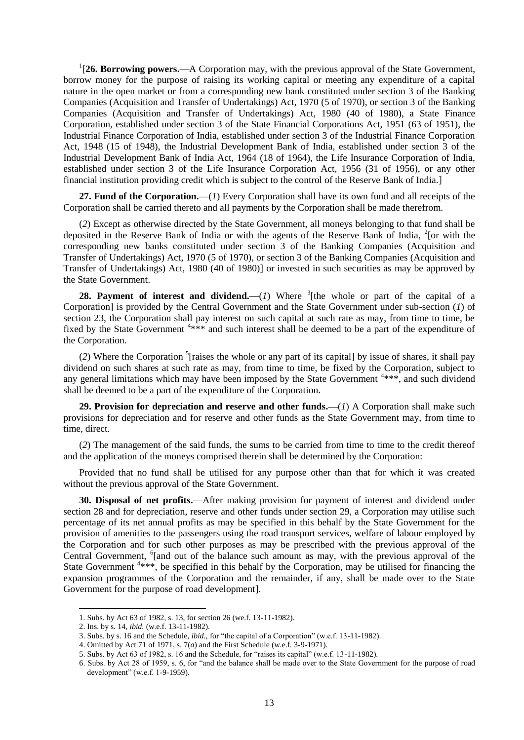<sup>1</sup>[26. Borrowing powers.—A Corporation may, with the previous approval of the State Government, borrow money for the purpose of raising its working capital or meeting any expenditure of a capital nature in the open market or from a corresponding new bank constituted under section 3 of the Banking Companies (Acquisition and Transfer of Undertakings) Act, 1970 (5 of 1970), or section 3 of the Banking Companies (Acquisition and Transfer of Undertakings) Act, 1980 (40 of 1980), a State Finance Corporation, established under section 3 of the State Financial Corporations Act, 1951 (63 of 1951), the Industrial Finance Corporation of India, established under section 3 of the Industrial Finance Corporation Act, 1948 (15 of 1948), the Industrial Development Bank of India, established under section 3 of the Industrial Development Bank of India Act, 1964 (18 of 1964), the Life Insurance Corporation of India, established under section 3 of the Life Insurance Corporation Act, 1956 (31 of 1956), or any other financial institution providing credit which is subject to the control of the Reserve Bank of India.]

**27. Fund of the Corporation.—**(*1*) Every Corporation shall have its own fund and all receipts of the Corporation shall be carried thereto and all payments by the Corporation shall be made therefrom.

(*2*) Except as otherwise directed by the State Government, all moneys belonging to that fund shall be deposited in the Reserve Bank of India or with the agents of the Reserve Bank of India, <sup>2</sup>[or with the corresponding new banks constituted under section 3 of the Banking Companies (Acquisition and Transfer of Undertakings) Act, 1970 (5 of 1970), or section 3 of the Banking Companies (Acquisition and Transfer of Undertakings) Act, 1980 (40 of 1980)] or invested in such securities as may be approved by the State Government.

**28. Payment of interest and dividend.**—(*1*) Where  ${}^{3}$ [the whole or part of the capital of a Corporation] is provided by the Central Government and the State Government under sub-section (*1*) of section 23, the Corporation shall pay interest on such capital at such rate as may, from time to time, be fixed by the State Government  $4**$  and such interest shall be deemed to be a part of the expenditure of the Corporation.

(*2*) Where the Corporation 5 [raises the whole or any part of its capital] by issue of shares, it shall pay dividend on such shares at such rate as may, from time to time, be fixed by the Corporation, subject to any general limitations which may have been imposed by the State Government  $4***$ , and such dividend shall be deemed to be a part of the expenditure of the Corporation.

**29. Provision for depreciation and reserve and other funds.—**(*1*) A Corporation shall make such provisions for depreciation and for reserve and other funds as the State Government may, from time to time, direct.

(*2*) The management of the said funds, the sums to be carried from time to time to the credit thereof and the application of the moneys comprised therein shall be determined by the Corporation:

Provided that no fund shall be utilised for any purpose other than that for which it was created without the previous approval of the State Government.

**30. Disposal of net profits.—**After making provision for payment of interest and dividend under section 28 and for depreciation, reserve and other funds under section 29, a Corporation may utilise such percentage of its net annual profits as may be specified in this behalf by the State Government for the provision of amenities to the passengers using the road transport services, welfare of labour employed by the Corporation and for such other purposes as may be prescribed with the previous approval of the Central Government, <sup>6</sup>[and out of the balance such amount as may, with the previous approval of the State Government  $4***$ , be specified in this behalf by the Corporation, may be utilised for financing the expansion programmes of the Corporation and the remainder, if any, shall be made over to the State Government for the purpose of road development].

<sup>1.</sup> Subs. by Act 63 of 1982, s. 13, for section 26 (we.f. 13-11-1982).

<sup>2.</sup> Ins. by s. 14, *ibid.* (w.e.f. 13-11-1982).

<sup>3.</sup> Subs. by s. 16 and the Schedule, *ibid.,* for "the capital of a Corporation" (w.e.f. 13-11-1982).

<sup>4.</sup> Omitted by Act 71 of 1971, s. 7(*a*) and the First Schedule (w.e.f. 3-9-1971).

<sup>5.</sup> Subs. by Act 63 of 1982, s. 16 and the Schedule, for "raises its capital" (w.e.f. 13-11-1982).

<sup>6.</sup> Subs. by Act 28 of 1959, s. 6, for "and the balance shall be made over to the State Government for the purpose of road development" (w.e.f. 1-9-1959).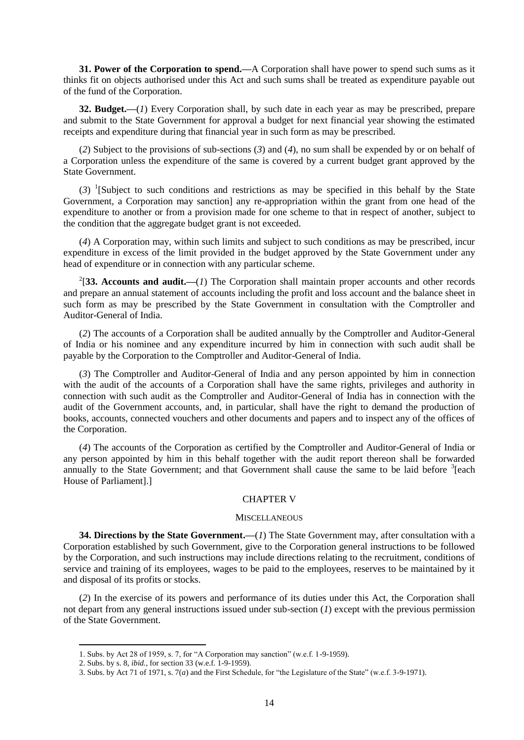**31. Power of the Corporation to spend.—**A Corporation shall have power to spend such sums as it thinks fit on objects authorised under this Act and such sums shall be treated as expenditure payable out of the fund of the Corporation.

**32. Budget.—**(*1*) Every Corporation shall, by such date in each year as may be prescribed, prepare and submit to the State Government for approval a budget for next financial year showing the estimated receipts and expenditure during that financial year in such form as may be prescribed.

(*2*) Subject to the provisions of sub-sections (*3*) and (*4*), no sum shall be expended by or on behalf of a Corporation unless the expenditure of the same is covered by a current budget grant approved by the State Government.

(*3*) 1 [Subject to such conditions and restrictions as may be specified in this behalf by the State Government, a Corporation may sanction] any re-appropriation within the grant from one head of the expenditure to another or from a provision made for one scheme to that in respect of another, subject to the condition that the aggregate budget grant is not exceeded.

(*4*) A Corporation may, within such limits and subject to such conditions as may be prescribed, incur expenditure in excess of the limit provided in the budget approved by the State Government under any head of expenditure or in connection with any particular scheme.

<sup>2</sup>[33. Accounts and audit.— $(I)$  The Corporation shall maintain proper accounts and other records and prepare an annual statement of accounts including the profit and loss account and the balance sheet in such form as may be prescribed by the State Government in consultation with the Comptroller and Auditor-General of India.

(*2*) The accounts of a Corporation shall be audited annually by the Comptroller and Auditor-General of India or his nominee and any expenditure incurred by him in connection with such audit shall be payable by the Corporation to the Comptroller and Auditor-General of India.

(*3*) The Comptroller and Auditor-General of India and any person appointed by him in connection with the audit of the accounts of a Corporation shall have the same rights, privileges and authority in connection with such audit as the Comptroller and Auditor-General of India has in connection with the audit of the Government accounts, and, in particular, shall have the right to demand the production of books, accounts, connected vouchers and other documents and papers and to inspect any of the offices of the Corporation.

(*4*) The accounts of the Corporation as certified by the Comptroller and Auditor-General of India or any person appointed by him in this behalf together with the audit report thereon shall be forwarded annually to the State Government; and that Government shall cause the same to be laid before <sup>3</sup>[each House of Parliament].]

### CHAPTER V

#### **MISCELLANEOUS**

**34. Directions by the State Government.—**(*1*) The State Government may, after consultation with a Corporation established by such Government, give to the Corporation general instructions to be followed by the Corporation, and such instructions may include directions relating to the recruitment, conditions of service and training of its employees, wages to be paid to the employees, reserves to be maintained by it and disposal of its profits or stocks.

(*2*) In the exercise of its powers and performance of its duties under this Act, the Corporation shall not depart from any general instructions issued under sub-section (*1*) except with the previous permission of the State Government.

<sup>1.</sup> Subs. by Act 28 of 1959, s. 7, for "A Corporation may sanction" (w.e.f. 1-9-1959).

<sup>2.</sup> Subs. by s. 8, *ibid.*, for section 33 (w.e.f. 1-9-1959).

<sup>3.</sup> Subs. by Act 71 of 1971, s. 7(*a*) and the First Schedule, for "the Legislature of the State" (w.e.f. 3-9-1971).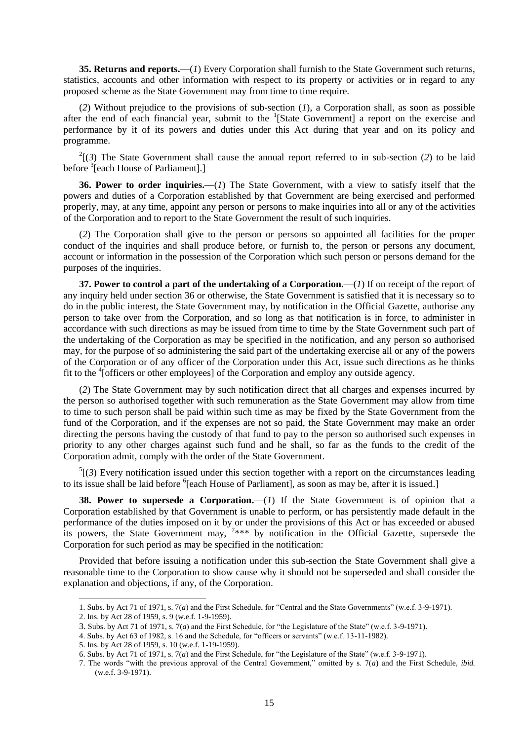**35. Returns and reports.—**(*1*) Every Corporation shall furnish to the State Government such returns, statistics, accounts and other information with respect to its property or activities or in regard to any proposed scheme as the State Government may from time to time require.

(*2*) Without prejudice to the provisions of sub-section (*1*), a Corporation shall, as soon as possible after the end of each financial year, submit to the <sup>1</sup>[State Government] a report on the exercise and performance by it of its powers and duties under this Act during that year and on its policy and programme.

 $2^{2}$ [(3) The State Government shall cause the annual report referred to in sub-section (2) to be laid before <sup>3</sup>[each House of Parliament].]

**36. Power to order inquiries.—**(*1*) The State Government, with a view to satisfy itself that the powers and duties of a Corporation established by that Government are being exercised and performed properly, may, at any time, appoint any person or persons to make inquiries into all or any of the activities of the Corporation and to report to the State Government the result of such inquiries.

(*2*) The Corporation shall give to the person or persons so appointed all facilities for the proper conduct of the inquiries and shall produce before, or furnish to, the person or persons any document, account or information in the possession of the Corporation which such person or persons demand for the purposes of the inquiries.

**37. Power to control a part of the undertaking of a Corporation.—**(*1*) If on receipt of the report of any inquiry held under section 36 or otherwise, the State Government is satisfied that it is necessary so to do in the public interest, the State Government may, by notification in the Official Gazette, authorise any person to take over from the Corporation, and so long as that notification is in force, to administer in accordance with such directions as may be issued from time to time by the State Government such part of the undertaking of the Corporation as may be specified in the notification, and any person so authorised may, for the purpose of so administering the said part of the undertaking exercise all or any of the powers of the Corporation or of any officer of the Corporation under this Act, issue such directions as he thinks fit to the <sup>4</sup>[officers or other employees] of the Corporation and employ any outside agency.

(*2*) The State Government may by such notification direct that all charges and expenses incurred by the person so authorised together with such remuneration as the State Government may allow from time to time to such person shall be paid within such time as may be fixed by the State Government from the fund of the Corporation, and if the expenses are not so paid, the State Government may make an order directing the persons having the custody of that fund to pay to the person so authorised such expenses in priority to any other charges against such fund and he shall, so far as the funds to the credit of the Corporation admit, comply with the order of the State Government.

 ${}^5$ [(3) Every notification issued under this section together with a report on the circumstances leading to its issue shall be laid before <sup>6</sup>[each House of Parliament], as soon as may be, after it is issued.]

**38. Power to supersede a Corporation.—(1)** If the State Government is of opinion that a Corporation established by that Government is unable to perform, or has persistently made default in the performance of the duties imposed on it by or under the provisions of this Act or has exceeded or abused its powers, the State Government may,  $7***$  by notification in the Official Gazette, supersede the Corporation for such period as may be specified in the notification:

Provided that before issuing a notification under this sub-section the State Government shall give a reasonable time to the Corporation to show cause why it should not be superseded and shall consider the explanation and objections, if any, of the Corporation.

<sup>1.</sup> Subs. by Act 71 of 1971, s. 7(*a*) and the First Schedule, for "Central and the State Governments" (w.e.f. 3-9-1971).

<sup>2.</sup> Ins. by Act 28 of 1959, s. 9 (w.e.f. 1-9-1959).

<sup>3.</sup> Subs. by Act 71 of 1971, s. 7(*a*) and the First Schedule, for "the Legislature of the State" (w.e.f. 3-9-1971).

<sup>4.</sup> Subs. by Act 63 of 1982, s. 16 and the Schedule, for "officers or servants" (w.e.f. 13-11-1982).

<sup>5.</sup> Ins. by Act 28 of 1959, s. 10 (w.e.f. 1-19-1959).

<sup>6.</sup> Subs. by Act 71 of 1971, s. 7(*a*) and the First Schedule, for "the Legislature of the State" (w.e.f. 3-9-1971).

<sup>7.</sup> The words "with the previous approval of the Central Government," omitted by s. 7(*a*) and the First Schedule, *ibid.*  (w.e.f. 3-9-1971).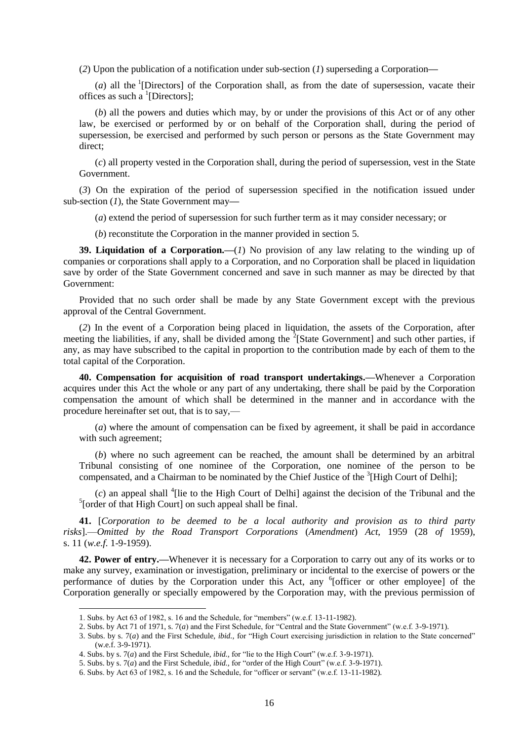(*2*) Upon the publication of a notification under sub-section (*1*) superseding a Corporation**—**

(*a*) all the <sup>1</sup>[Directors] of the Corporation shall, as from the date of supersession, vacate their offices as such a  ${}^{1}$ [Directors];

(*b*) all the powers and duties which may, by or under the provisions of this Act or of any other law, be exercised or performed by or on behalf of the Corporation shall, during the period of supersession, be exercised and performed by such person or persons as the State Government may direct;

(*c*) all property vested in the Corporation shall, during the period of supersession, vest in the State Government.

(*3*) On the expiration of the period of supersession specified in the notification issued under sub-section (*1*), the State Government may**—**

(*a*) extend the period of supersession for such further term as it may consider necessary; or

(*b*) reconstitute the Corporation in the manner provided in section 5.

**39. Liquidation of a Corporation.—**(*1*) No provision of any law relating to the winding up of companies or corporations shall apply to a Corporation, and no Corporation shall be placed in liquidation save by order of the State Government concerned and save in such manner as may be directed by that Government:

Provided that no such order shall be made by any State Government except with the previous approval of the Central Government.

(*2*) In the event of a Corporation being placed in liquidation, the assets of the Corporation, after meeting the liabilities, if any, shall be divided among the  $2$ [State Government] and such other parties, if any, as may have subscribed to the capital in proportion to the contribution made by each of them to the total capital of the Corporation.

**40. Compensation for acquisition of road transport undertakings.—**Whenever a Corporation acquires under this Act the whole or any part of any undertaking, there shall be paid by the Corporation compensation the amount of which shall be determined in the manner and in accordance with the procedure hereinafter set out, that is to say,—

(*a*) where the amount of compensation can be fixed by agreement, it shall be paid in accordance with such agreement;

(*b*) where no such agreement can be reached, the amount shall be determined by an arbitral Tribunal consisting of one nominee of the Corporation, one nominee of the person to be compensated, and a Chairman to be nominated by the Chief Justice of the <sup>3</sup>[High Court of Delhi];

 $(c)$  an appeal shall <sup>4</sup>[lie to the High Court of Delhi] against the decision of the Tribunal and the <sup>5</sup>[order of that High Court] on such appeal shall be final.

**41.** [*Corporation to be deemed to be a local authority and provision as to third party risks*].—*Omitted by the Road Transport Corporations* (*Amendment*) *Act*, 1959 (28 *of* 1959), s. 11 (*w.e.f.* 1-9-1959).

**42. Power of entry.—**Whenever it is necessary for a Corporation to carry out any of its works or to make any survey, examination or investigation, preliminary or incidental to the exercise of powers or the performance of duties by the Corporation under this Act, any <sup>6</sup>[officer or other employee] of the Corporation generally or specially empowered by the Corporation may, with the previous permission of

<sup>1.</sup> Subs. by Act 63 of 1982, s. 16 and the Schedule, for "members" (w.e.f. 13-11-1982).

<sup>2.</sup> Subs. by Act 71 of 1971, s. 7(*a*) and the First Schedule, for "Central and the State Government" (w.e.f. 3-9-1971).

<sup>3.</sup> Subs. by s. 7(*a*) and the First Schedule, *ibid.,* for "High Court exercising jurisdiction in relation to the State concerned" (w.e.f. 3-9-1971).

<sup>4.</sup> Subs. by s. 7(*a*) and the First Schedule, *ibid.,* for "lie to the High Court" (w.e.f. 3-9-1971).

<sup>5.</sup> Subs. by s. 7(*a*) and the First Schedule, *ibid.,* for "order of the High Court" (w.e.f. 3-9-1971).

<sup>6.</sup> Subs. by Act 63 of 1982, s. 16 and the Schedule, for "officer or servant" (w.e.f. 13-11-1982).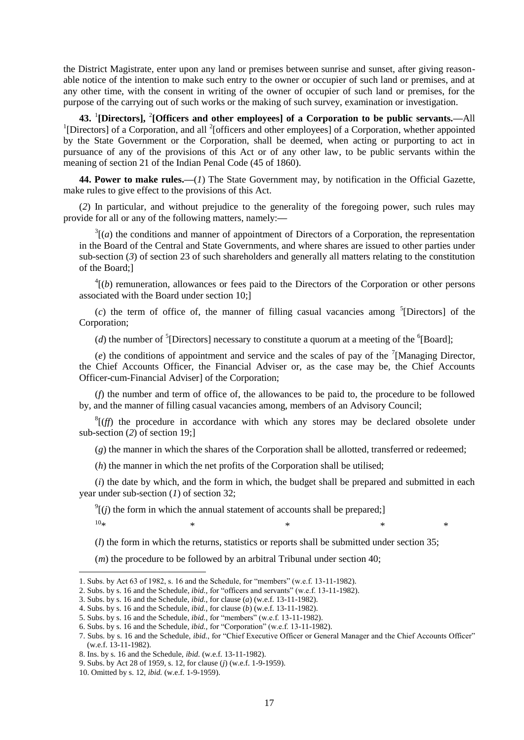the District Magistrate, enter upon any land or premises between sunrise and sunset, after giving reasonable notice of the intention to make such entry to the owner or occupier of such land or premises, and at any other time, with the consent in writing of the owner of occupier of such land or premises, for the purpose of the carrying out of such works or the making of such survey, examination or investigation.

**43.** <sup>1</sup> **[Directors],** 2 **[Officers and other employees] of a Corporation to be public servants.—**All <sup>1</sup>[Directors] of a Corporation, and all <sup>2</sup>[officers and other employees] of a Corporation, whether appointed by the State Government or the Corporation, shall be deemed, when acting or purporting to act in pursuance of any of the provisions of this Act or of any other law, to be public servants within the meaning of section 21 of the Indian Penal Code (45 of 1860).

**44. Power to make rules.—**(*1*) The State Government may, by notification in the Official Gazette, make rules to give effect to the provisions of this Act.

(*2*) In particular, and without prejudice to the generality of the foregoing power, such rules may provide for all or any of the following matters, namely:**—**

 $3[(a)$  the conditions and manner of appointment of Directors of a Corporation, the representation in the Board of the Central and State Governments, and where shares are issued to other parties under sub-section (*3*) of section 23 of such shareholders and generally all matters relating to the constitution of the Board;]

 $<sup>4</sup>$ [(*b*) remuneration, allowances or fees paid to the Directors of the Corporation or other persons</sup> associated with the Board under section 10;]

 $(c)$  the term of office of, the manner of filling casual vacancies among <sup>5</sup>[Directors] of the Corporation;

(*d*) the number of <sup>5</sup>[Directors] necessary to constitute a quorum at a meeting of the <sup>6</sup>[Board];

 $(e)$  the conditions of appointment and service and the scales of pay of the <sup>7</sup>[Managing Director, the Chief Accounts Officer, the Financial Adviser or, as the case may be, the Chief Accounts Officer-cum-Financial Adviser] of the Corporation;

(*f*) the number and term of office of, the allowances to be paid to, the procedure to be followed by, and the manner of filling casual vacancies among, members of an Advisory Council;

 ${}^{8}$ [(*ff*) the procedure in accordance with which any stores may be declared obsolete under sub-section (*2*) of section 19;]

(*g*) the manner in which the shares of the Corporation shall be allotted, transferred or redeemed;

(*h*) the manner in which the net profits of the Corporation shall be utilised;

(*i*) the date by which, and the form in which, the budget shall be prepared and submitted in each year under sub-section (*1*) of section 32;

 $\mathcal{O}^9$ [(*j*) the form in which the annual statement of accounts shall be prepared;]  $10*$  \* \* \* \*

(*l*) the form in which the returns, statistics or reports shall be submitted under section 35;

(*m*) the procedure to be followed by an arbitral Tribunal under section 40;

<sup>1.</sup> Subs. by Act 63 of 1982, s. 16 and the Schedule, for "members" (w.e.f. 13-11-1982).

<sup>2.</sup> Subs. by s. 16 and the Schedule, *ibid.,* for "officers and servants" (w.e.f. 13-11-1982).

<sup>3.</sup> Subs. by s. 16 and the Schedule, *ibid.,* for clause (*a*) (w.e.f. 13-11-1982).

<sup>4.</sup> Subs. by s. 16 and the Schedule, *ibid.,* for clause (*b*) (w.e.f. 13-11-1982).

<sup>5.</sup> Subs. by s. 16 and the Schedule, *ibid.,* for "members" (w.e.f. 13-11-1982).

<sup>6.</sup> Subs. by s. 16 and the Schedule, *ibid.,* for "Corporation" (w.e.f. 13-11-1982).

<sup>7.</sup> Subs. by s. 16 and the Schedule, *ibid.*, for "Chief Executive Officer or General Manager and the Chief Accounts Officer" (w.e.f. 13-11-1982).

<sup>8.</sup> Ins. by s. 16 and the Schedule, *ibid.* (w.e.f. 13-11-1982).

<sup>9.</sup> Subs. by Act 28 of 1959, s. 12, for clause (*j*) (w.e.f. 1-9-1959).

<sup>10.</sup> Omitted by s. 12, *ibid.* (w.e.f. 1-9-1959).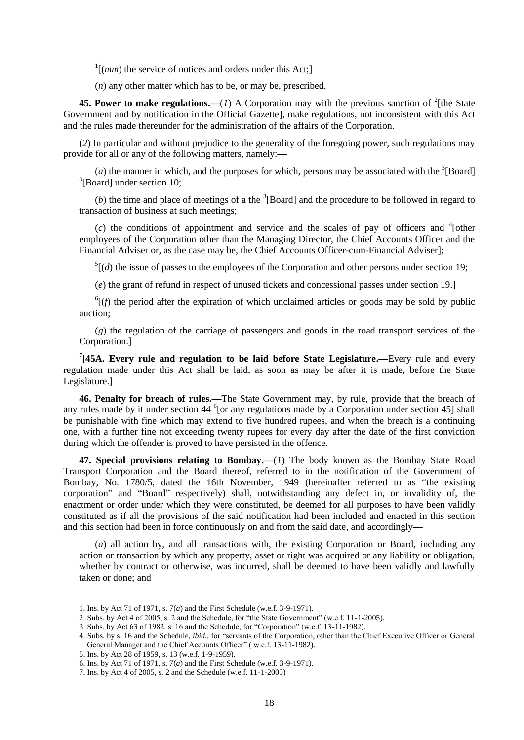$\frac{1}{(mm)}$  the service of notices and orders under this Act;

(*n*) any other matter which has to be, or may be, prescribed.

**45. Power to make regulations.** (*1*) A Corporation may with the previous sanction of <sup>2</sup>[the State Government and by notification in the Official Gazette], make regulations, not inconsistent with this Act and the rules made thereunder for the administration of the affairs of the Corporation.

(*2*) In particular and without prejudice to the generality of the foregoing power, such regulations may provide for all or any of the following matters, namely:**—**

(*a*) the manner in which, and the purposes for which, persons may be associated with the  ${}^{3}$ [Board] 3 [Board] under section 10;

 $(b)$  the time and place of meetings of a the  ${}^{3}$ [Board] and the procedure to be followed in regard to transaction of business at such meetings;

 $(c)$  the conditions of appointment and service and the scales of pay of officers and  $\frac{4}{1}$ other employees of the Corporation other than the Managing Director, the Chief Accounts Officer and the Financial Adviser or, as the case may be, the Chief Accounts Officer-cum-Financial Adviser];

 $<sup>5</sup>$ [(*d*) the issue of passes to the employees of the Corporation and other persons under section 19;</sup>

(*e*) the grant of refund in respect of unused tickets and concessional passes under section 19.]

 ${}^{6}$ [(*f*) the period after the expiration of which unclaimed articles or goods may be sold by public auction;

(*g*) the regulation of the carriage of passengers and goods in the road transport services of the Corporation.]

**7 [45A. Every rule and regulation to be laid before State Legislature.—**Every rule and every regulation made under this Act shall be laid, as soon as may be after it is made, before the State Legislature.]

**46. Penalty for breach of rules.—**The State Government may, by rule, provide that the breach of any rules made by it under section 44 $<sup>6</sup>$  [or any regulations made by a Corporation under section 45] shall</sup> be punishable with fine which may extend to five hundred rupees, and when the breach is a continuing one, with a further fine not exceeding twenty rupees for every day after the date of the first conviction during which the offender is proved to have persisted in the offence.

**47. Special provisions relating to Bombay.—**(*1*) The body known as the Bombay State Road Transport Corporation and the Board thereof, referred to in the notification of the Government of Bombay, No. 1780/5, dated the 16th November, 1949 (hereinafter referred to as "the existing corporation" and "Board" respectively) shall, notwithstanding any defect in, or invalidity of, the enactment or order under which they were constituted, be deemed for all purposes to have been validly constituted as if all the provisions of the said notification had been included and enacted in this section and this section had been in force continuously on and from the said date, and accordingly**—**

(*a*) all action by, and all transactions with, the existing Corporation or Board, including any action or transaction by which any property, asset or right was acquired or any liability or obligation, whether by contract or otherwise, was incurred, shall be deemed to have been validly and lawfully taken or done; and

 $\overline{a}$ 

<sup>1.</sup> Ins. by Act 71 of 1971, s. 7(*a*) and the First Schedule (w.e.f. 3-9-1971).

<sup>2.</sup> Subs. by Act 4 of 2005, s. 2 and the Schedule, for "the State Government" (w.e.f. 11-1-2005).

<sup>3.</sup> Subs. by Act 63 of 1982, s. 16 and the Schedule, for "Corporation" (w.e.f. 13-11-1982).

<sup>4.</sup> Subs. by s. 16 and the Schedule, *ibid.,* for "servants of the Corporation, other than the Chief Executive Officer or General General Manager and the Chief Accounts Officer" ( w.e.f. 13-11-1982).

<sup>5.</sup> Ins. by Act 28 of 1959, s. 13 (w.e.f. 1-9-1959).

<sup>6.</sup> Ins. by Act 71 of 1971, s. 7(*a*) and the First Schedule (w.e.f. 3-9-1971).

<sup>7.</sup> Ins. by Act 4 of 2005, s. 2 and the Schedule (w.e.f. 11-1-2005)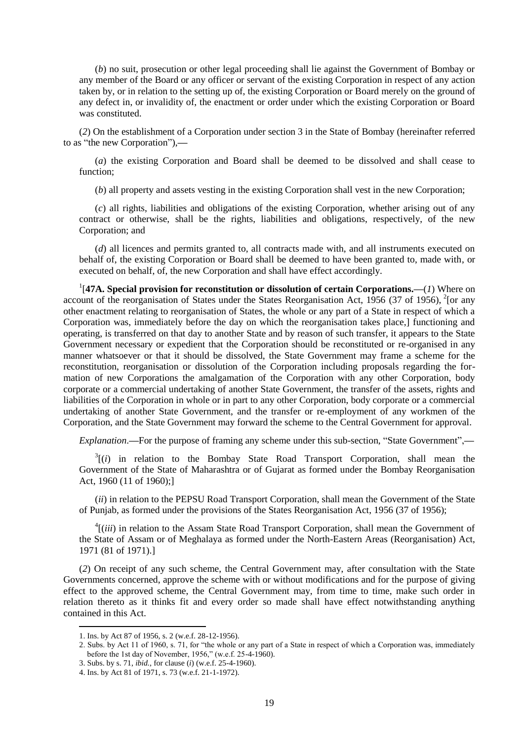(*b*) no suit, prosecution or other legal proceeding shall lie against the Government of Bombay or any member of the Board or any officer or servant of the existing Corporation in respect of any action taken by, or in relation to the setting up of, the existing Corporation or Board merely on the ground of any defect in, or invalidity of, the enactment or order under which the existing Corporation or Board was constituted.

(*2*) On the establishment of a Corporation under section 3 in the State of Bombay (hereinafter referred to as "the new Corporation"),**—**

(*a*) the existing Corporation and Board shall be deemed to be dissolved and shall cease to function;

(*b*) all property and assets vesting in the existing Corporation shall vest in the new Corporation;

(*c*) all rights, liabilities and obligations of the existing Corporation, whether arising out of any contract or otherwise, shall be the rights, liabilities and obligations, respectively, of the new Corporation; and

(*d*) all licences and permits granted to, all contracts made with, and all instruments executed on behalf of, the existing Corporation or Board shall be deemed to have been granted to, made with, or executed on behalf, of, the new Corporation and shall have effect accordingly.

1 [**47A. Special provision for reconstitution or dissolution of certain Corporations.—**(*1*) Where on account of the reorganisation of States under the States Reorganisation Act, 1956 (37 of 1956), <sup>2</sup>[or any other enactment relating to reorganisation of States, the whole or any part of a State in respect of which a Corporation was, immediately before the day on which the reorganisation takes place,] functioning and operating, is transferred on that day to another State and by reason of such transfer, it appears to the State Government necessary or expedient that the Corporation should be reconstituted or re-organised in any manner whatsoever or that it should be dissolved, the State Government may frame a scheme for the reconstitution, reorganisation or dissolution of the Corporation including proposals regarding the formation of new Corporations the amalgamation of the Corporation with any other Corporation, body corporate or a commercial undertaking of another State Government, the transfer of the assets, rights and liabilities of the Corporation in whole or in part to any other Corporation, body corporate or a commercial undertaking of another State Government, and the transfer or re-employment of any workmen of the Corporation, and the State Government may forward the scheme to the Central Government for approval.

*Explanation*.**—**For the purpose of framing any scheme under this sub-section, "State Government",**—**

 $3[(i)$  in relation to the Bombay State Road Transport Corporation, shall mean the Government of the State of Maharashtra or of Gujarat as formed under the Bombay Reorganisation Act, 1960 (11 of 1960);]

(*ii*) in relation to the PEPSU Road Transport Corporation, shall mean the Government of the State of Punjab, as formed under the provisions of the States Reorganisation Act, 1956 (37 of 1956);

<sup>4</sup>[(*iii*) in relation to the Assam State Road Transport Corporation, shall mean the Government of the State of Assam or of Meghalaya as formed under the North-Eastern Areas (Reorganisation) Act, 1971 (81 of 1971).]

(*2*) On receipt of any such scheme, the Central Government may, after consultation with the State Governments concerned, approve the scheme with or without modifications and for the purpose of giving effect to the approved scheme, the Central Government may, from time to time, make such order in relation thereto as it thinks fit and every order so made shall have effect notwithstanding anything contained in this Act.

<sup>1.</sup> Ins. by Act 87 of 1956, s. 2 (w.e.f. 28-12-1956).

<sup>2.</sup> Subs. by Act 11 of 1960, s. 71, for "the whole or any part of a State in respect of which a Corporation was, immediately before the 1st day of November, 1956," (w.e.f. 25-4-1960).

<sup>3.</sup> Subs. by s. 71, *ibid.,* for clause (*i*) (w.e.f. 25-4-1960).

<sup>4.</sup> Ins. by Act 81 of 1971, s. 73 (w.e.f. 21-1-1972).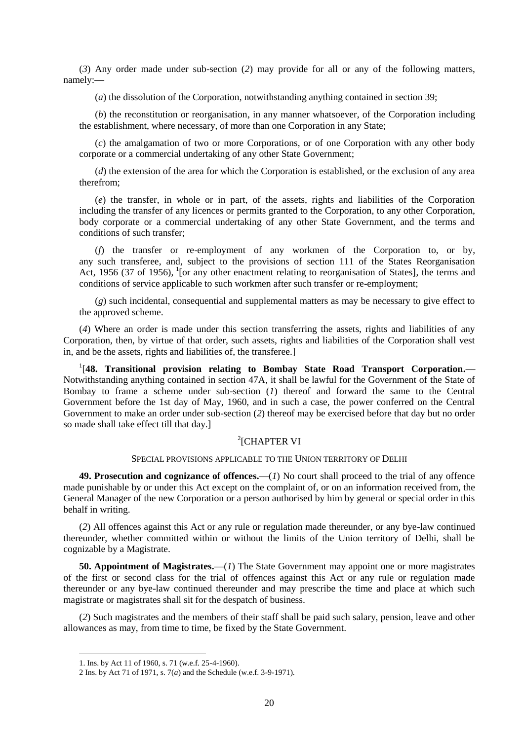(*3*) Any order made under sub-section (*2*) may provide for all or any of the following matters, namely:**—**

(*a*) the dissolution of the Corporation, notwithstanding anything contained in section 39;

(*b*) the reconstitution or reorganisation, in any manner whatsoever, of the Corporation including the establishment, where necessary, of more than one Corporation in any State;

(*c*) the amalgamation of two or more Corporations, or of one Corporation with any other body corporate or a commercial undertaking of any other State Government;

(*d*) the extension of the area for which the Corporation is established, or the exclusion of any area therefrom;

(*e*) the transfer, in whole or in part, of the assets, rights and liabilities of the Corporation including the transfer of any licences or permits granted to the Corporation, to any other Corporation, body corporate or a commercial undertaking of any other State Government, and the terms and conditions of such transfer;

(*f*) the transfer or re-employment of any workmen of the Corporation to, or by, any such transferee, and, subject to the provisions of section 111 of the States Reorganisation Act, 1956 (37 of 1956), <sup>1</sup>[or any other enactment relating to reorganisation of States], the terms and conditions of service applicable to such workmen after such transfer or re-employment;

(*g*) such incidental, consequential and supplemental matters as may be necessary to give effect to the approved scheme.

(*4*) Where an order is made under this section transferring the assets, rights and liabilities of any Corporation, then, by virtue of that order, such assets, rights and liabilities of the Corporation shall vest in, and be the assets, rights and liabilities of, the transferee.]

<sup>1</sup>[48. Transitional provision relating to Bombay State Road Transport Corporation.-Notwithstanding anything contained in section 47A, it shall be lawful for the Government of the State of Bombay to frame a scheme under sub-section (*1*) thereof and forward the same to the Central Government before the 1st day of May, 1960, and in such a case, the power conferred on the Central Government to make an order under sub-section (*2*) thereof may be exercised before that day but no order so made shall take effect till that day.]

# 2 [CHAPTER VI

#### SPECIAL PROVISIONS APPLICABLE TO THE UNION TERRITORY OF DELHI

**49. Prosecution and cognizance of offences.—**(*1*) No court shall proceed to the trial of any offence made punishable by or under this Act except on the complaint of, or on an information received from, the General Manager of the new Corporation or a person authorised by him by general or special order in this behalf in writing.

(*2*) All offences against this Act or any rule or regulation made thereunder, or any bye-law continued thereunder, whether committed within or without the limits of the Union territory of Delhi, shall be cognizable by a Magistrate.

**50. Appointment of Magistrates.—**(*1*) The State Government may appoint one or more magistrates of the first or second class for the trial of offences against this Act or any rule or regulation made thereunder or any bye-law continued thereunder and may prescribe the time and place at which such magistrate or magistrates shall sit for the despatch of business.

(*2*) Such magistrates and the members of their staff shall be paid such salary, pension, leave and other allowances as may, from time to time, be fixed by the State Government.

<sup>1.</sup> Ins. by Act 11 of 1960, s. 71 (w.e.f. 25-4-1960).

<sup>2</sup> Ins. by Act 71 of 1971, s. 7(*a*) and the Schedule (w.e.f. 3-9-1971).